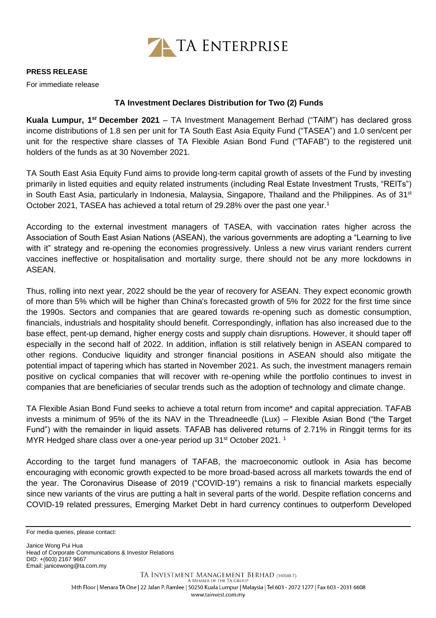

## **PRESS RELEASE**

For immediate release

## **TA Investment Declares Distribution for Two (2) Funds**

**Kuala Lumpur, 1***st* **December 2021** – TA Investment Management Berhad ("TAIM") has declared gross income distributions of 1.8 sen per unit for TA South East Asia Equity Fund ("TASEA") and 1.0 sen/cent per unit for the respective share classes of TA Flexible Asian Bond Fund ("TAFAB") to the registered unit holders of the funds as at 30 November 2021.

TA South East Asia Equity Fund aims to provide long-term capital growth of assets of the Fund by investing primarily in listed equities and equity related instruments (including Real Estate Investment Trusts, "REITs") in South East Asia, particularly in Indonesia, Malaysia, Singapore, Thailand and the Philippines. As of 31<sup>st</sup> October 2021, TASEA has achieved a total return of 29.28% over the past one year.<sup>1</sup>

According to the external investment managers of TASEA, with vaccination rates higher across the Association of South East Asian Nations (ASEAN), the various governments are adopting a "Learning to live with it" strategy and re-opening the economies progressively. Unless a new virus variant renders current vaccines ineffective or hospitalisation and mortality surge, there should not be any more lockdowns in ASEAN.

Thus, rolling into next year, 2022 should be the year of recovery for ASEAN. They expect economic growth of more than 5% which will be higher than China's forecasted growth of 5% for 2022 for the first time since the 1990s. Sectors and companies that are geared towards re-opening such as domestic consumption, financials, industrials and hospitality should benefit. Correspondingly, inflation has also increased due to the base effect, pent-up demand, higher energy costs and supply chain disruptions. However, it should taper off especially in the second half of 2022. In addition, inflation is still relatively benign in ASEAN compared to other regions. Conducive liquidity and stronger financial positions in ASEAN should also mitigate the potential impact of tapering which has started in November 2021. As such, the investment managers remain positive on cyclical companies that will recover with re-opening while the portfolio continues to invest in companies that are beneficiaries of secular trends such as the adoption of technology and climate change.

TA Flexible Asian Bond Fund seeks to achieve a total return from income\* and capital appreciation. TAFAB invests a minimum of 95% of the its NAV in the Threadneedle (Lux) – Flexible Asian Bond ("the Target Fund") with the remainder in liquid assets. TAFAB has delivered returns of 2.71% in Ringgit terms for its MYR Hedged share class over a one-year period up  $31<sup>st</sup>$  October 2021. <sup>1</sup>

According to the target fund managers of TAFAB, the macroeconomic outlook in Asia has become encouraging with economic growth expected to be more broad-based across all markets towards the end of the year. The Coronavirus Disease of 2019 ("COVID-19") remains a risk to financial markets especially since new variants of the virus are putting a halt in several parts of the world. Despite reflation concerns and COVID-19 related pressures, Emerging Market Debt in hard currency continues to outperform Developed

Janice Wong Pui Hua Head of Corporate Communications & Investor Relations DID: +(603) 2167 9667 Email[: janicewong@ta.com.my](mailto:janicewong@ta.com.my)

For media queries, please contact: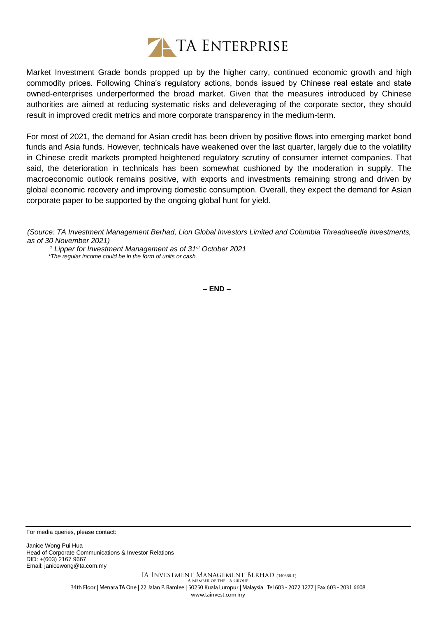

Market Investment Grade bonds propped up by the higher carry, continued economic growth and high commodity prices. Following China's regulatory actions, bonds issued by Chinese real estate and state owned-enterprises underperformed the broad market. Given that the measures introduced by Chinese authorities are aimed at reducing systematic risks and deleveraging of the corporate sector, they should result in improved credit metrics and more corporate transparency in the medium-term.

For most of 2021, the demand for Asian credit has been driven by positive flows into emerging market bond funds and Asia funds. However, technicals have weakened over the last quarter, largely due to the volatility in Chinese credit markets prompted heightened regulatory scrutiny of consumer internet companies. That said, the deterioration in technicals has been somewhat cushioned by the moderation in supply. The macroeconomic outlook remains positive, with exports and investments remaining strong and driven by global economic recovery and improving domestic consumption. Overall, they expect the demand for Asian corporate paper to be supported by the ongoing global hunt for yield.

*(Source: TA Investment Management Berhad, Lion Global Investors Limited and Columbia Threadneedle Investments, as of 30 November 2021)*

*<sup>1</sup> Lipper for Investment Management as of 31st October 2021 \*The regular income could be in the form of units or cash.*

**– END –**

For media queries, please contact:

Janice Wong Pui Hua Head of Corporate Communications & Investor Relations DID: +(603) 2167 9667 Email[: janicewong@ta.com.my](mailto:janicewong@ta.com.my)